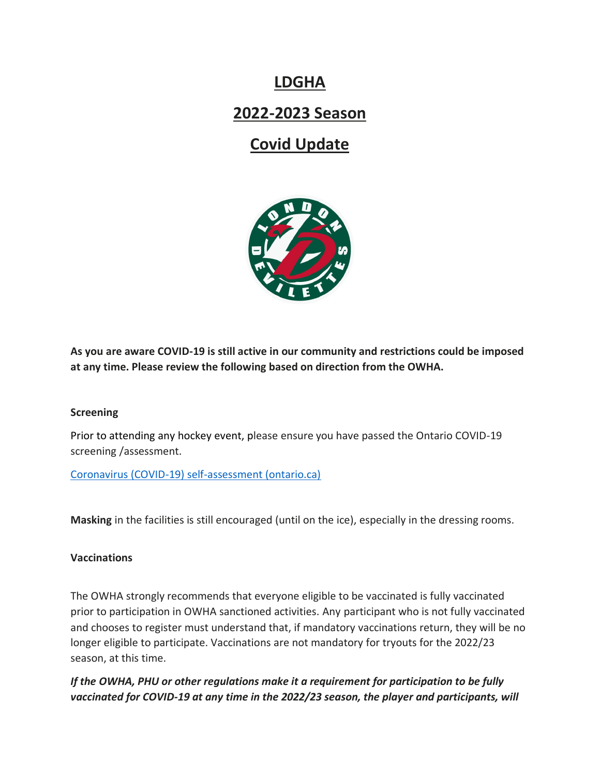## **LDGHA 2022-2023 Season Covid Update**



**As you are aware COVID-19 is still active in our community and restrictions could be imposed at any time. Please review the following based on direction from the OWHA.**

## **Screening**

Prior to attending any hockey event, please ensure you have passed the Ontario COVID-19 screening /assessment.

[Coronavirus \(COVID-19\) self-assessment \(ontario.ca\)](https://covid-19.ontario.ca/self-assessment/)

**Masking** in the facilities is still encouraged (until on the ice), especially in the dressing rooms.

## **Vaccinations**

The OWHA strongly recommends that everyone eligible to be vaccinated is fully vaccinated prior to participation in OWHA sanctioned activities. Any participant who is not fully vaccinated and chooses to register must understand that, if mandatory vaccinations return, they will be no longer eligible to participate. Vaccinations are not mandatory for tryouts for the 2022/23 season, at this time.

*If the OWHA, PHU or other regulations make it a requirement for participation to be fully vaccinated for COVID-19 at any time in the 2022/23 season, the player and participants, will*